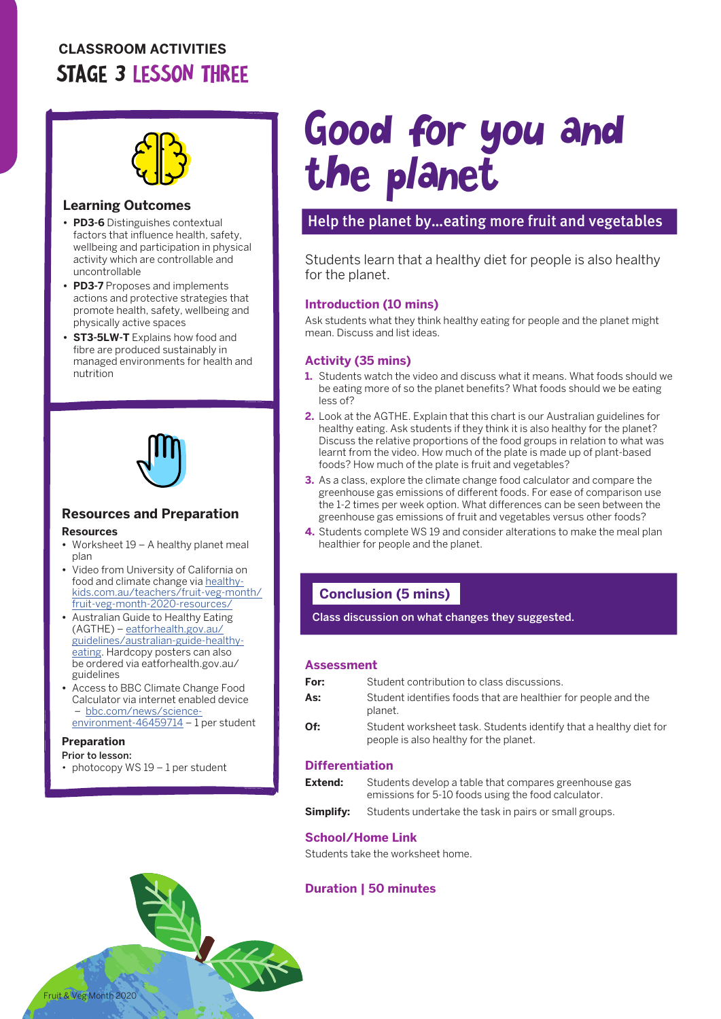# **CLASSROOM ACTIVITIES** STAGE 3 LESSON THREE



#### **Learning Outcomes**

- **• PD3-6** Distinguishes contextual factors that influence health, safety, wellbeing and participation in physical activity which are controllable and uncontrollable
- **• PD3-7** Proposes and implements actions and protective strategies that promote health, safety, wellbeing and physically active spaces
- **• ST3-5LW-T** Explains how food and fibre are produced sustainably in managed environments for health and nutrition



#### **Resources and Preparation Resources**

- **•** Worksheet 19 A healthy planet meal plan
- **•** Video from University of California on food and climate change via [healthy](http://healthy-kids.com.au/teachers/fruit-veg-month/fruit-veg-month-2020-resources/)[kids.com.au/teachers/fruit-veg-month/](http://healthy-kids.com.au/teachers/fruit-veg-month/fruit-veg-month-2020-resources/) [fruit-veg-month-2020-resources/](http://healthy-kids.com.au/teachers/fruit-veg-month/fruit-veg-month-2020-resources/)
- **•** Australian Guide to Healthy Eating (AGTHE) – [eatforhealth.gov.au/](http://eatforhealth.gov.au/guidelines/australian-guide-healthy-eating) [guidelines/australian-guide-healthy](http://eatforhealth.gov.au/guidelines/australian-guide-healthy-eating)[eating.](http://eatforhealth.gov.au/guidelines/australian-guide-healthy-eating) Hardcopy posters can also be ordered via eatforhealth.gov.au/ guidelines
- **•** Access to BBC Climate Change Food Calculator via internet enabled device – [bbc.com/news/science](http://bbc.com/news/science-environment-46459714)[environment-46459714](http://bbc.com/news/science-environment-46459714) - 1 per student

#### **Preparation**

- Prior to lesson:
- photocopy WS  $19 1$  per student

# Good for you and the planet

## Help the planet by…eating more fruit and vegetables

Students learn that a healthy diet for people is also healthy for the planet.

#### **Introduction (10 mins)**

Ask students what they think healthy eating for people and the planet might mean. Discuss and list ideas.

#### **Activity (35 mins)**

- **1.** Students watch the video and discuss what it means. What foods should we be eating more of so the planet benefits? What foods should we be eating less of?
- **2.** Look at the AGTHE. Explain that this chart is our Australian guidelines for healthy eating. Ask students if they think it is also healthy for the planet? Discuss the relative proportions of the food groups in relation to what was learnt from the video. How much of the plate is made up of plant-based foods? How much of the plate is fruit and vegetables?
- **3.** As a class, explore the climate change food calculator and compare the greenhouse gas emissions of different foods. For ease of comparison use the 1-2 times per week option. What differences can be seen between the greenhouse gas emissions of fruit and vegetables versus other foods?
- **4.** Students complete WS 19 and consider alterations to make the meal plan healthier for people and the planet.

## **Conclusion (5 mins)**

Class discussion on what changes they suggested.

#### **Assessment**

| For: | Student contribution to class discussions.                                                                  |
|------|-------------------------------------------------------------------------------------------------------------|
| As:  | Student identifies foods that are healthier for people and the<br>planet.                                   |
| Of:  | Student worksheet task. Students identify that a healthy diet for<br>people is also healthy for the planet. |

#### **Differentiation**

| Extend:   | Students develop a table that compares greenhouse gas<br>emissions for 5-10 foods using the food calculator. |
|-----------|--------------------------------------------------------------------------------------------------------------|
| Simplify: | Students undertake the task in pairs or small groups.                                                        |

#### **School/Home Link**

Students take the worksheet home.

#### **Duration | 50 minutes**